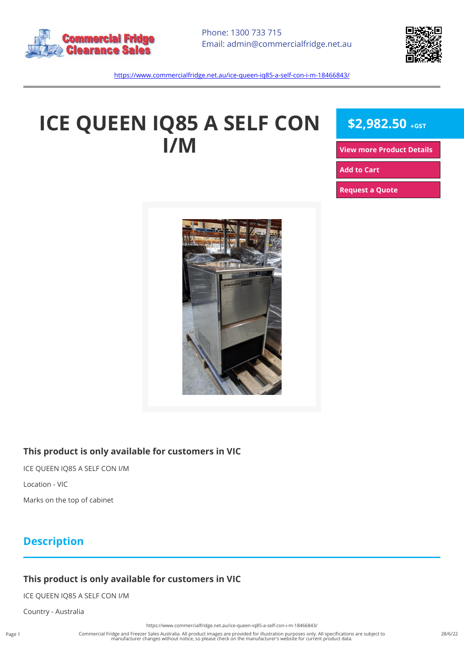



<https://www.commercialfridge.net.au/ice-queen-iq85-a-self-con-i-m-18466843/>

# **ICE QUEEN IQ85 A SELF CON I/M**

**\$2,982.50 +GST**

**[View more Product Details](https://www.commercialfridge.net.au/ice-queen-iq85-a-self-con-i-m-18466843/)**

**[Add to Cart](https://www.commercialfridge.net.au/ice-queen-iq85-a-self-con-i-m-18466843/?addtocart=1)** 

**[Request a Quote](https://www.commercialfridge.net.au/ice-queen-iq85-a-self-con-i-m-18466843/?requestaquote=1)** 



#### **This product is only available for customers in VIC**

ICE QUEEN IQ85 A SELF CON I/M Location - VIC Marks on the top of cabinet

## **Description**

### **This product is only available for customers in VIC**

ICE QUEEN IQ85 A SELF CON I/M

Country - Australia

<https://www.commercialfridge.net.au/ice-queen-iq85-a-self-con-i-m-18466843/>

Commercial Fridge and Freezer Sales Australia. All product images are provided for illustration purposes only. All specifications are subject to manufacturer changes without notice, so please check on the manufacturer's website for current product data.